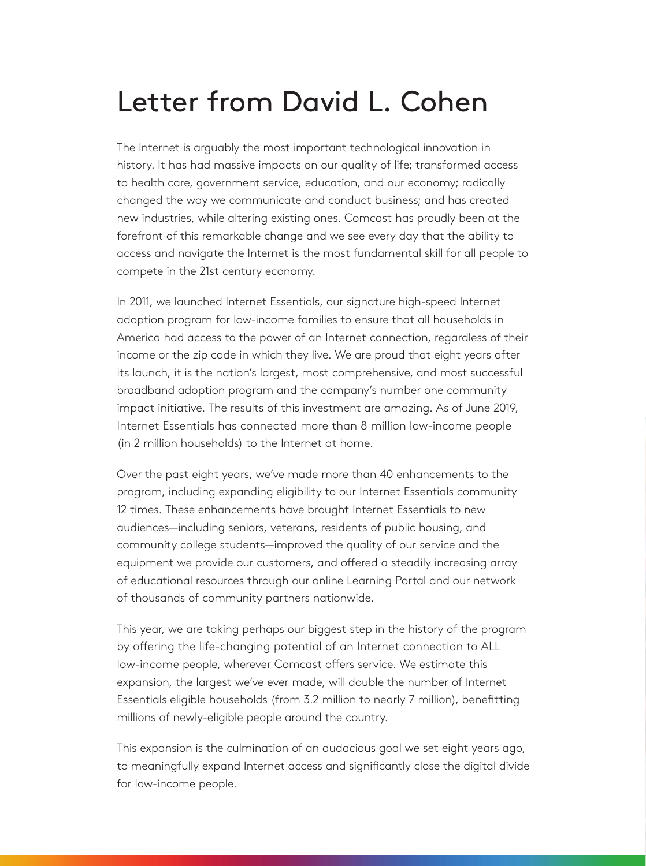## Letter from David L. Cohen

The Internet is arguably the most important technological innovation in history. It has had massive impacts on our quality of life; transformed access to health care, government service, education, and our economy; radically changed the way we communicate and conduct business; and has created new industries, while altering existing ones. Comcast has proudly been at the forefront of this remarkable change and we see every day that the ability to access and navigate the Internet is the most fundamental skill for all people to compete in the 21st century economy.

In 2011, we launched Internet Essentials, our signature high-speed Internet adoption program for low-income families to ensure that all households in America had access to the power of an Internet connection, regardless of their income or the zip code in which they live. We are proud that eight years after its launch, it is the nation's largest, most comprehensive, and most successful broadband adoption program and the company's number one community impact initiative. The results of this investment are amazing. As of June 2019, Internet Essentials has connected more than 8 million low-income people (in 2 million households) to the Internet at home.

Over the past eight years, we've made more than 40 enhancements to the program, including expanding eligibility to our Internet Essentials community 12 times. These enhancements have brought Internet Essentials to new audiences—including seniors, veterans, residents of public housing, and community college students—improved the quality of our service and the equipment we provide our customers, and offered a steadily increasing array of educational resources through our online Learning Portal and our network of thousands of community partners nationwide.

This year, we are taking perhaps our biggest step in the history of the program by offering the life-changing potential of an Internet connection to ALL low-income people, wherever Comcast offers service. We estimate this expansion, the largest we've ever made, will double the number of Internet Essentials eligible households (from 3.2 million to nearly 7 million), benefitting millions of newly-eligible people around the country.

This expansion is the culmination of an audacious goal we set eight years ago, to meaningfully expand Internet access and significantly close the digital divide for low-income people.